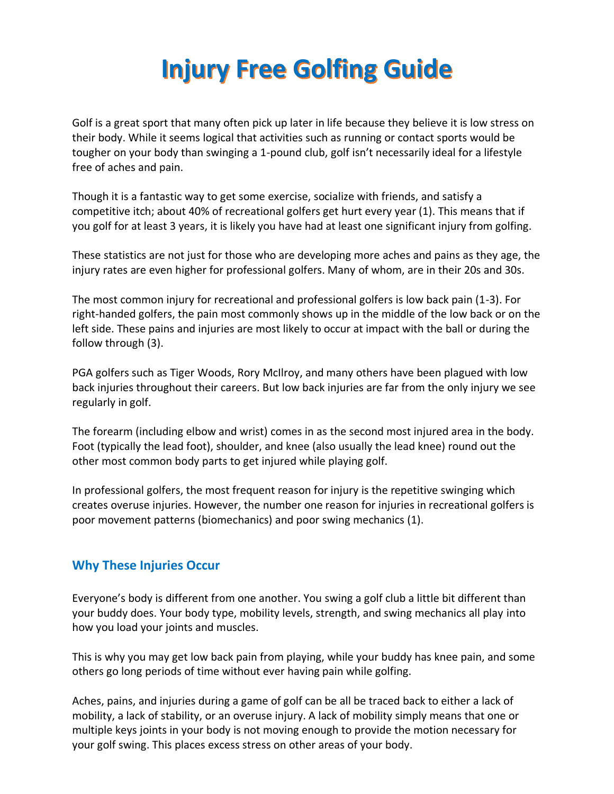## **Injury Free Golfing Guide**

Golf is a great sport that many often pick up later in life because they believe it is low stress on their body. While it seems logical that activities such as running or contact sports would be tougher on your body than swinging a 1-pound club, golf isn't necessarily ideal for a lifestyle free of aches and pain.

Though it is a fantastic way to get some exercise, socialize with friends, and satisfy a competitive itch; about 40% of recreational golfers get hurt every year (1). This means that if you golf for at least 3 years, it is likely you have had at least one significant injury from golfing.

These statistics are not just for those who are developing more aches and pains as they age, the injury rates are even higher for professional golfers. Many of whom, are in their 20s and 30s.

The most common injury for recreational and professional golfers is low back pain (1-3). For right-handed golfers, the pain most commonly shows up in the middle of the low back or on the left side. These pains and injuries are most likely to occur at impact with the ball or during the follow through (3).

PGA golfers such as Tiger Woods, Rory McIlroy, and many others have been plagued with low back injuries throughout their careers. But low back injuries are far from the only injury we see regularly in golf.

The forearm (including elbow and wrist) comes in as the second most injured area in the body. Foot (typically the lead foot), shoulder, and knee (also usually the lead knee) round out the other most common body parts to get injured while playing golf.

In professional golfers, the most frequent reason for injury is the repetitive swinging which creates overuse injuries. However, the number one reason for injuries in recreational golfers is poor movement patterns (biomechanics) and poor swing mechanics (1).

## **Why These Injuries Occur**

Everyone's body is different from one another. You swing a golf club a little bit different than your buddy does. Your body type, mobility levels, strength, and swing mechanics all play into how you load your joints and muscles.

This is why you may get low back pain from playing, while your buddy has knee pain, and some others go long periods of time without ever having pain while golfing.

Aches, pains, and injuries during a game of golf can be all be traced back to either a lack of mobility, a lack of stability, or an overuse injury. A lack of mobility simply means that one or multiple keys joints in your body is not moving enough to provide the motion necessary for your golf swing. This places excess stress on other areas of your body.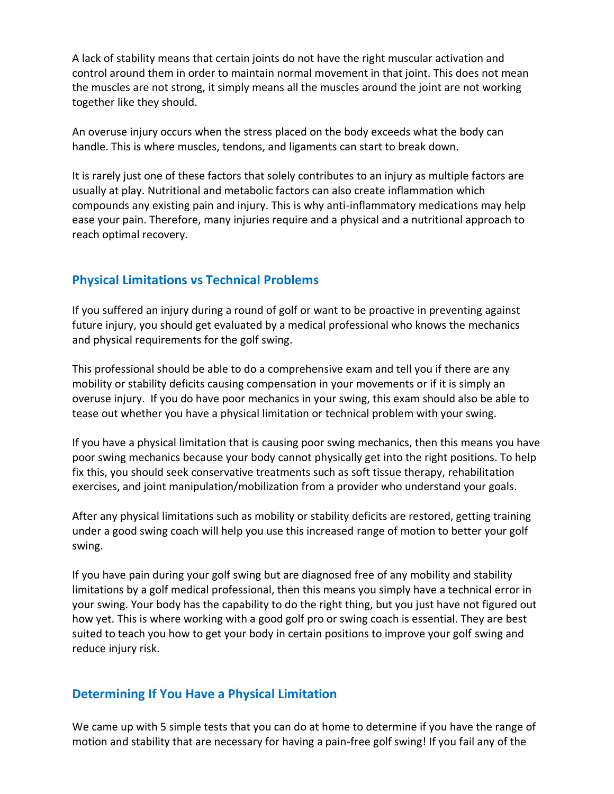A lack of stability means that certain joints do not have the right muscular activation and control around them in order to maintain normal movement in that joint. This does not mean the muscles are not strong, it simply means all the muscles around the joint are not working together like they should.

An overuse injury occurs when the stress placed on the body exceeds what the body can handle. This is where muscles, tendons, and ligaments can start to break down.

It is rarely just one of these factors that solely contributes to an injury as multiple factors are usually at play. Nutritional and metabolic factors can also create inflammation which compounds any existing pain and injury. This is why anti-inflammatory medications may help ease your pain. Therefore, many injuries require and a physical and a nutritional approach to reach optimal recovery.

## **Physical Limitations vs Technical Problems**

If you suffered an injury during a round of golf or want to be proactive in preventing against future injury, you should get evaluated by a medical professional who knows the mechanics and physical requirements for the golf swing.

This professional should be able to do a comprehensive exam and tell you if there are any mobility or stability deficits causing compensation in your movements or if it is simply an overuse injury. If you do have poor mechanics in your swing, this exam should also be able to tease out whether you have a physical limitation or technical problem with your swing.

If you have a physical limitation that is causing poor swing mechanics, then this means you have poor swing mechanics because your body cannot physically get into the right positions. To help fix this, you should seek conservative treatments such as soft tissue therapy, rehabilitation exercises, and joint manipulation/mobilization from a provider who understand your goals.

After any physical limitations such as mobility or stability deficits are restored, getting training under a good swing coach will help you use this increased range of motion to better your golf swing.

If you have pain during your golf swing but are diagnosed free of any mobility and stability limitations by a golf medical professional, then this means you simply have a technical error in your swing. Your body has the capability to do the right thing, but you just have not figured out how yet. This is where working with a good golf pro or swing coach is essential. They are best suited to teach you how to get your body in certain positions to improve your golf swing and reduce injury risk.

## **Determining If You Have a Physical Limitation**

We came up with 5 simple tests that you can do at home to determine if you have the range of motion and stability that are necessary for having a pain-free golf swing! If you fail any of the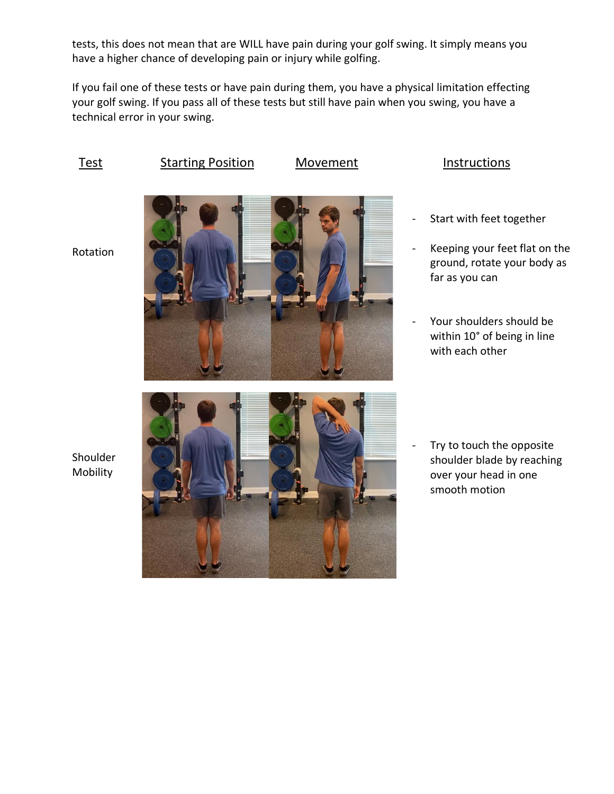tests, this does not mean that are WILL have pain during your golf swing. It simply means you have a higher chance of developing pain or injury while golfing.

If you fail one of these tests or have pain during them, you have a physical limitation effecting your golf swing. If you pass all of these tests but still have pain when you swing, you have a technical error in your swing.